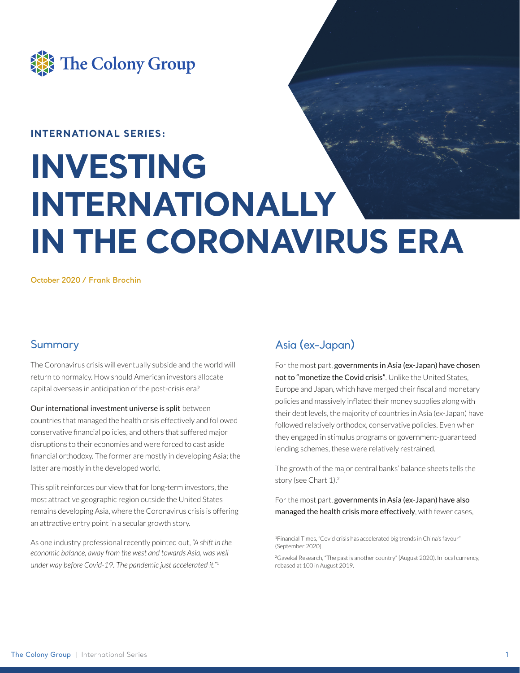

### **INTERNATIONAL SERIES:**

# **INVESTING INTERNATIONALLY IN THE CORONAVIRUS ERA**

**October 2020 / Frank Brochin**

## **Summary**

The Coronavirus crisis will eventually subside and the world will return to normalcy. How should American investors allocate capital overseas in anticipation of the post-crisis era?

#### Our international investment universe is split between

countries that managed the health crisis effectively and followed conservative financial policies, and others that suffered major disruptions to their economies and were forced to cast aside financial orthodoxy. The former are mostly in developing Asia; the latter are mostly in the developed world.

This split reinforces our view that for long-term investors, the most attractive geographic region outside the United States remains developing Asia, where the Coronavirus crisis is offering an attractive entry point in a secular growth story.

As one industry professional recently pointed out, *"A shift in the economic balance, away from the west and towards Asia, was well under way before Covid-19. The pandemic just accelerated it."*<sup>1</sup>

# Asia (ex-Japan)

For the most part, governments in Asia (ex-Japan) have chosen not to "monetize the Covid crisis". Unlike the United States, Europe and Japan, which have merged their fiscal and monetary policies and massively inflated their money supplies along with their debt levels, the majority of countries in Asia (ex-Japan) have followed relatively orthodox, conservative policies. Even when they engaged in stimulus programs or government-guaranteed lending schemes, these were relatively restrained.

The growth of the major central banks' balance sheets tells the story (see Chart 1).<sup>2</sup>

For the most part, governments in Asia (ex-Japan) have also managed the health crisis more effectively, with fewer cases,

1Financial Times, "Covid crisis has accelerated big trends in China's favour" (September 2020).

<sup>2</sup>Gavekal Research, "The past is another country" (August 2020). In local currency, rebased at 100 in August 2019.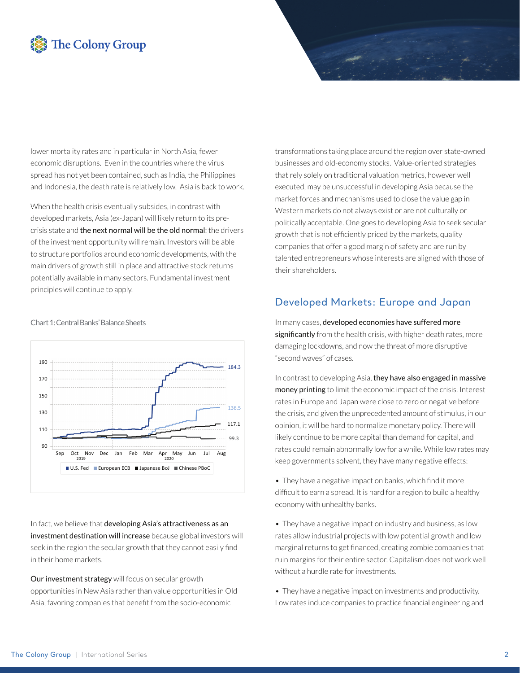# **The Colony Group**

lower mortality rates and in particular in North Asia, fewer economic disruptions. Even in the countries where the virus spread has not yet been contained, such as India, the Philippines and Indonesia, the death rate is relatively low. Asia is back to work.

When the health crisis eventually subsides, in contrast with developed markets, Asia (ex-Japan) will likely return to its precrisis state and the next normal will be the old normal: the drivers of the investment opportunity will remain. Investors will be able to structure portfolios around economic developments, with the main drivers of growth still in place and attractive stock returns potentially available in many sectors. Fundamental investment principles will continue to apply.



Chart 1: Central Banks' Balance Sheets

In fact, we believe that developing Asia's attractiveness as an investment destination will increase because global investors will seek in the region the secular growth that they cannot easily find in their home markets.

Our investment strategy will focus on secular growth opportunities in New Asia rather than value opportunities in Old Asia, favoring companies that benefit from the socio-economic

transformations taking place around the region over state-owned businesses and old-economy stocks. Value-oriented strategies that rely solely on traditional valuation metrics, however well executed, may be unsuccessful in developing Asia because the market forces and mechanisms used to close the value gap in Western markets do not always exist or are not culturally or politically acceptable. One goes to developing Asia to seek secular growth that is not efficiently priced by the markets, quality companies that offer a good margin of safety and are run by talented entrepreneurs whose interests are aligned with those of their shareholders.

### Developed Markets: Europe and Japan

In many cases, developed economies have suffered more significantly from the health crisis, with higher death rates, more damaging lockdowns, and now the threat of more disruptive "second waves" of cases.

In contrast to developing Asia, they have also engaged in massive money printing to limit the economic impact of the crisis. Interest rates in Europe and Japan were close to zero or negative before the crisis, and given the unprecedented amount of stimulus, in our opinion, it will be hard to normalize monetary policy. There will likely continue to be more capital than demand for capital, and rates could remain abnormally low for a while. While low rates may keep governments solvent, they have many negative effects:

 $\bullet$  They have a negative impact on banks, which find it more difficult to earn a spread. It is hard for a region to build a healthy economy with unhealthy banks.

• They have a negative impact on industry and business, as low rates allow industrial projects with low potential growth and low marginal returns to get financed, creating zombie companies that ruin margins for their entire sector. Capitalism does not work well without a hurdle rate for investments.

• They have a negative impact on investments and productivity. Low rates induce companies to practice financial engineering and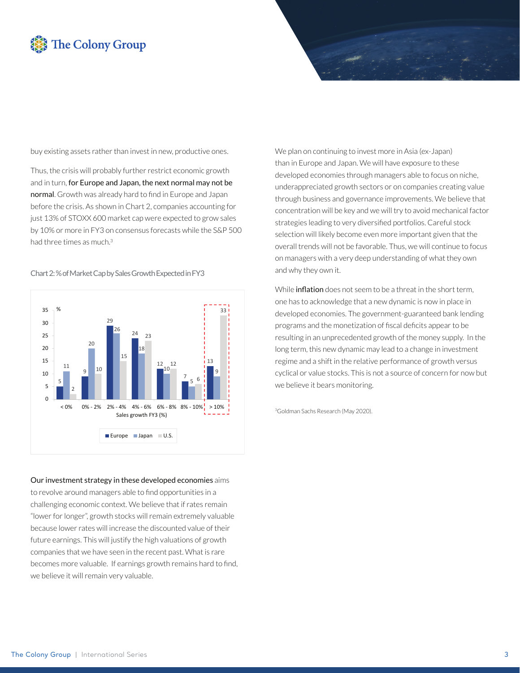# **The Colony Group**

buy existing assets rather than invest in new, productive ones.

Thus, the crisis will probably further restrict economic growth and in turn, for Europe and Japan, the next normal may not be normal. Growth was already hard to find in Europe and Japan before the crisis. As shown in Chart 2, companies accounting for just 13% of STOXX 600 market cap were expected to grow sales by 10% or more in FY3 on consensus forecasts while the S&P 500 had three times as much.3

Chart 2: % of Market Cap by Sales Growth Expected in FY3

5 9 29 24 12 7 13 11  $2<sub>C</sub>$ 26 18 10 5 9 2 10 15  $2<sub>3</sub>$ 12 6 33  $\Omega$ 5 10 15 20 25 30 35  $< 0\%$  0% - 2% 2% - 4% 4% - 6% 6% - 8% 8% - 10% > 10% % Sales growth FY3 (%) Europe **Japan**  $U.S.$ 

### Our investment strategy in these developed economies aims

to revolve around managers able to find opportunities in a challenging economic context. We believe that if rates remain "lower for longer", growth stocks will remain extremely valuable because lower rates will increase the discounted value of their future earnings. This will justify the high valuations of growth companies that we have seen in the recent past. What is rare becomes more valuable. If earnings growth remains hard to find, we believe it will remain very valuable.

We plan on continuing to invest more in Asia (ex-Japan) than in Europe and Japan. We will have exposure to these developed economies through managers able to focus on niche, underappreciated growth sectors or on companies creating value through business and governance improvements. We believe that concentration will be key and we will try to avoid mechanical factor strategies leading to very diversified portfolios. Careful stock selection will likely become even more important given that the overall trends will not be favorable. Thus, we will continue to focus on managers with a very deep understanding of what they own and why they own it.

While **inflation** does not seem to be a threat in the short term. one has to acknowledge that a new dynamic is now in place in developed economies. The government-guaranteed bank lending programs and the monetization of fiscal deficits appear to be resulting in an unprecedented growth of the money supply. In the long term, this new dynamic may lead to a change in investment regime and a shift in the relative performance of growth versus cyclical or value stocks. This is not a source of concern for now but we believe it bears monitoring.

3Goldman Sachs Research (May 2020).